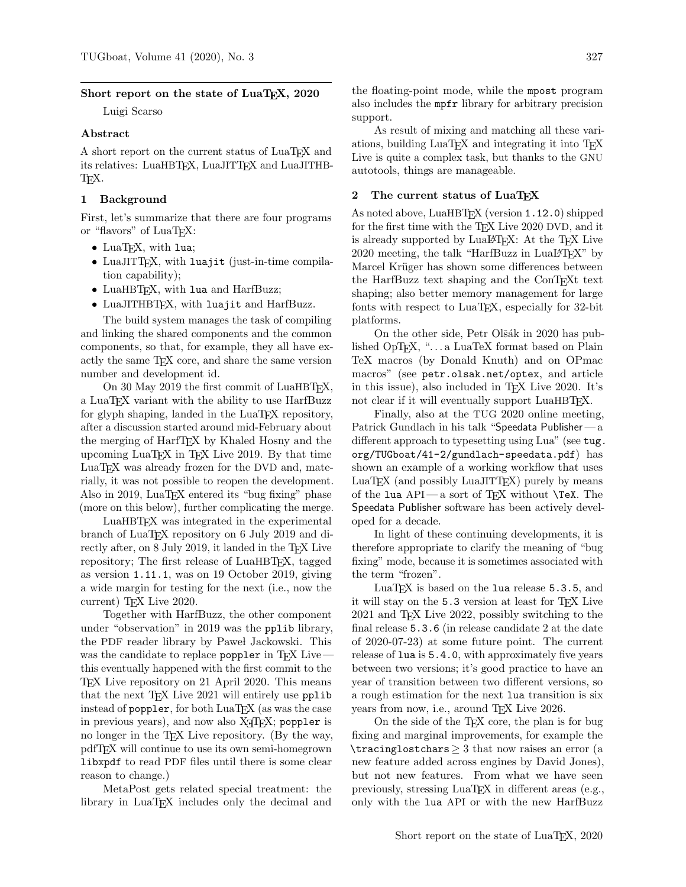#### Short report on the state of LuaT<sub>EX</sub>, 2020

Luigi Scarso

# Abstract

A short report on the current status of LuaT<sub>EX</sub> and its relatives: LuaHBT<sub>E</sub>X, LuaJITT<sub>E</sub>X and LuaJITHB-TEX.

#### 1 Background

First, let's summarize that there are four programs or "flavors" of LuaTFX:

- LuaT<sub>F</sub>X, with lua;
- LuaJITTEX, with luajit (just-in-time compilation capability);
- LuaHBTFX, with lua and HarfBuzz;
- LuaJITHBTFX, with luajit and HarfBuzz.

The build system manages the task of compiling and linking the shared components and the common components, so that, for example, they all have exactly the same TEX core, and share the same version number and development id.

On 30 May 2019 the first commit of LuaHBTEX, a LuaTEX variant with the ability to use HarfBuzz for glyph shaping, landed in the LuaT<sub>EX</sub> repository, after a discussion started around mid-February about the merging of HarfTEX by Khaled Hosny and the upcoming LuaTEX in TEX Live 2019. By that time LuaT<sub>EX</sub> was already frozen for the DVD and, materially, it was not possible to reopen the development. Also in 2019, LuaTEX entered its "bug fixing" phase (more on this below), further complicating the merge.

LuaHBTEX was integrated in the experimental branch of LuaT<sub>EX</sub> repository on 6 July 2019 and directly after, on 8 July 2019, it landed in the TEX Live repository; The first release of LuaHBT<sub>EX</sub>, tagged as version 1.11.1, was on 19 October 2019, giving a wide margin for testing for the next (i.e., now the current) T<sub>F</sub>X Live 2020.

Together with HarfBuzz, the other component under "observation" in 2019 was the pplib library, the PDF reader library by Paweł Jackowski. This was the candidate to replace poppler in  $T_{EX}$  Live  $$ this eventually happened with the first commit to the TEX Live repository on 21 April 2020. This means that the next T<sub>E</sub>X Live 2021 will entirely use pplib instead of poppler, for both LuaT<sub>E</sub>X (as was the case in previous years), and now also XAIEX; poppler is no longer in the TEX Live repository. (By the way, pdfTEX will continue to use its own semi-homegrown libxpdf to read PDF files until there is some clear reason to change.)

MetaPost gets related special treatment: the library in LuaT<sub>EX</sub> includes only the decimal and the floating-point mode, while the mpost program also includes the mpfr library for arbitrary precision support.

As result of mixing and matching all these variations, building LuaTEX and integrating it into TEX Live is quite a complex task, but thanks to the GNU autotools, things are manageable.

## 2 The current status of LuaTEX

As noted above, LuaHBT<sub>E</sub>X (version 1.12.0) shipped for the first time with the T<sub>E</sub>X Live 2020 DVD, and it is already supported by LuaL<sup>AT</sup>FX: At the TFX Live 2020 meeting, the talk "HarfBuzz in LuaLAT<sub>EX</sub>" by Marcel Krüger has shown some differences between the HarfBuzz text shaping and the ConTEXt text shaping; also better memory management for large fonts with respect to LuaT<sub>EX</sub>, especially for 32-bit platforms.

On the other side, Petr Olšák in 2020 has published OpT<sub>F</sub>X, "...a LuaTeX format based on Plain TeX macros (by Donald Knuth) and on OPmac macros" (see [petr.olsak.net/optex](http://petr.olsak.net/optex), and article in this issue), also included in TEX Live 2020. It's not clear if it will eventually support LuaHBT<sub>E</sub>X.

Finally, also at the TUG 2020 online meeting, Patrick Gundlach in his talk "Speedata Publisher — a different approach to typesetting using Lua" (see [tug.](https://tug.org/TUGboat/41-2/gundlach-speedata.pdf) [org/TUGboat/41-2/gundlach-speedata.pdf](https://tug.org/TUGboat/41-2/gundlach-speedata.pdf)) has shown an example of a working workflow that uses  $LuaT<sub>F</sub>X$  (and possibly  $LuaJITT<sub>F</sub>X$ ) purely by means of the lua API— a sort of TEX without \TeX. The Speedata Publisher software has been actively developed for a decade.

In light of these continuing developments, it is therefore appropriate to clarify the meaning of "bug fixing" mode, because it is sometimes associated with the term "frozen".

LuaT<sub>EX</sub> is based on the lua release 5.3.5, and it will stay on the 5.3 version at least for TEX Live 2021 and TEX Live 2022, possibly switching to the final release 5.3.6 (in release candidate 2 at the date of 2020-07-23) at some future point. The current release of lua is 5.4.0, with approximately five years between two versions; it's good practice to have an year of transition between two different versions, so a rough estimation for the next lua transition is six years from now, i.e., around T<sub>E</sub>X Live 2026.

On the side of the TEX core, the plan is for bug fixing and marginal improvements, for example the  $\tau$  is  $\text{arglostchars} \geq 3$  that now raises an error (a new feature added across engines by David Jones), but not new features. From what we have seen previously, stressing LuaT<sub>EX</sub> in different areas (e.g., only with the lua API or with the new HarfBuzz